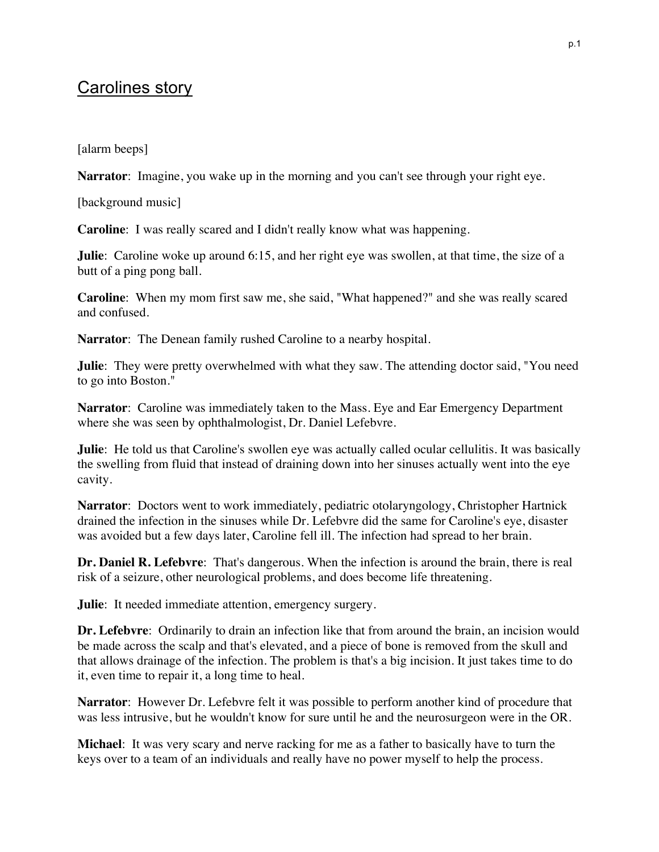## Carolines story

[alarm beeps]

**Narrator**: Imagine, you wake up in the morning and you can't see through your right eye.

[background music]

**Caroline**: I was really scared and I didn't really know what was happening.

**Julie**: Caroline woke up around 6:15, and her right eye was swollen, at that time, the size of a butt of a ping pong ball.

**Caroline**: When my mom first saw me, she said, "What happened?" and she was really scared and confused.

**Narrator**: The Denean family rushed Caroline to a nearby hospital.

**Julie**: They were pretty overwhelmed with what they saw. The attending doctor said, "You need to go into Boston."

**Narrator**: Caroline was immediately taken to the Mass. Eye and Ear Emergency Department where she was seen by ophthalmologist, Dr. Daniel Lefebvre.

**Julie**: He told us that Caroline's swollen eye was actually called ocular cellulitis. It was basically the swelling from fluid that instead of draining down into her sinuses actually went into the eye cavity.

**Narrator**: Doctors went to work immediately, pediatric otolaryngology, Christopher Hartnick drained the infection in the sinuses while Dr. Lefebvre did the same for Caroline's eye, disaster was avoided but a few days later, Caroline fell ill. The infection had spread to her brain.

**Dr. Daniel R. Lefebvre**: That's dangerous. When the infection is around the brain, there is real risk of a seizure, other neurological problems, and does become life threatening.

**Julie**: It needed immediate attention, emergency surgery.

**Dr. Lefebvre**: Ordinarily to drain an infection like that from around the brain, an incision would be made across the scalp and that's elevated, and a piece of bone is removed from the skull and that allows drainage of the infection. The problem is that's a big incision. It just takes time to do it, even time to repair it, a long time to heal.

**Narrator**: However Dr. Lefebvre felt it was possible to perform another kind of procedure that was less intrusive, but he wouldn't know for sure until he and the neurosurgeon were in the OR.

**Michael**: It was very scary and nerve racking for me as a father to basically have to turn the keys over to a team of an individuals and really have no power myself to help the process.